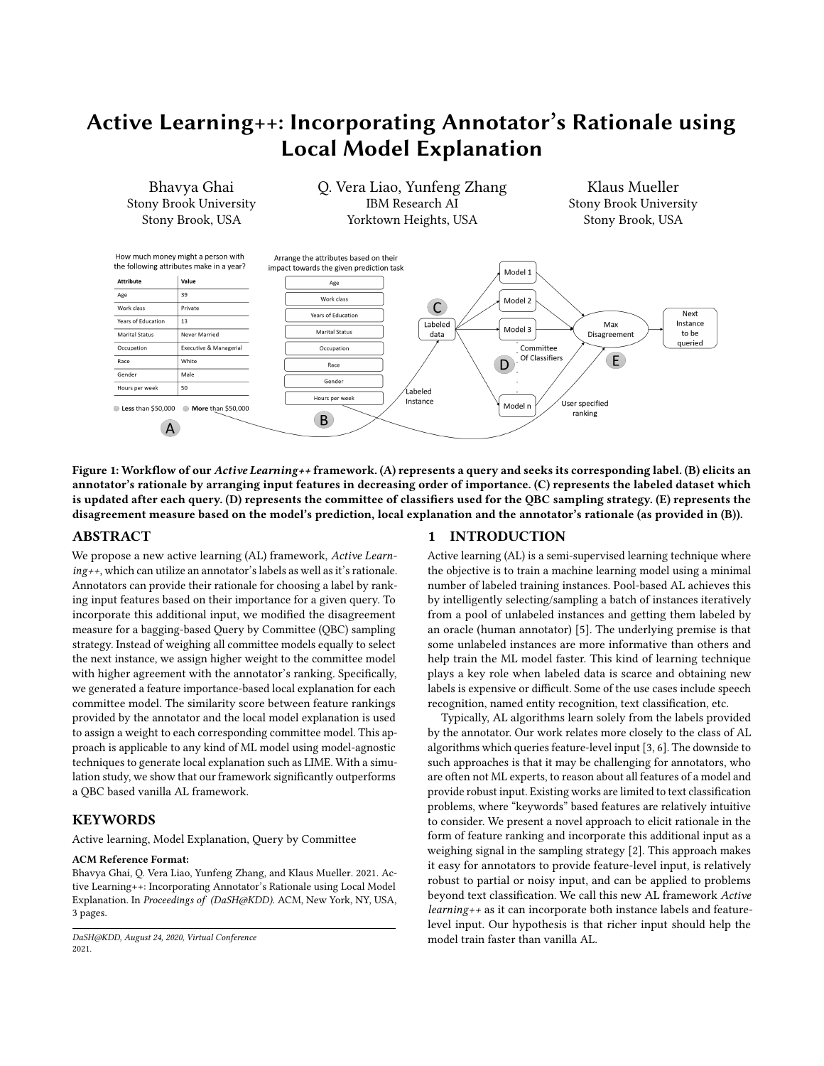# Active Learning++: Incorporating Annotator's Rationale using Local Model Explanation

<span id="page-0-0"></span>

Figure 1: Workflow of our Active Learning++ framework. (A) represents a query and seeks its corresponding label. (B) elicits an annotator's rationale by arranging input features in decreasing order of importance. (C) represents the labeled dataset which is updated after each query. (D) represents the committee of classifiers used for the QBC sampling strategy. (E) represents the disagreement measure based on the model's prediction, local explanation and the annotator's rationale (as provided in (B)).

## ABSTRACT

We propose a new active learning (AL) framework, Active Learning++, which can utilize an annotator's labels as well as it's rationale. Annotators can provide their rationale for choosing a label by ranking input features based on their importance for a given query. To incorporate this additional input, we modified the disagreement measure for a bagging-based Query by Committee (QBC) sampling strategy. Instead of weighing all committee models equally to select the next instance, we assign higher weight to the committee model with higher agreement with the annotator's ranking. Specifically, we generated a feature importance-based local explanation for each committee model. The similarity score between feature rankings provided by the annotator and the local model explanation is used to assign a weight to each corresponding committee model. This approach is applicable to any kind of ML model using model-agnostic techniques to generate local explanation such as LIME. With a simulation study, we show that our framework significantly outperforms a QBC based vanilla AL framework.

# **KEYWORDS**

Active learning, Model Explanation, Query by Committee

#### ACM Reference Format:

Bhavya Ghai, Q. Vera Liao, Yunfeng Zhang, and Klaus Mueller. 2021. Active Learning++: Incorporating Annotator's Rationale using Local Model Explanation. In Proceedings of (DaSH@KDD). ACM, New York, NY, USA, [3](#page-2-0) pages.

## 1 INTRODUCTION

Active learning (AL) is a semi-supervised learning technique where the objective is to train a machine learning model using a minimal number of labeled training instances. Pool-based AL achieves this by intelligently selecting/sampling a batch of instances iteratively from a pool of unlabeled instances and getting them labeled by an oracle (human annotator) [\[5\]](#page-2-1). The underlying premise is that some unlabeled instances are more informative than others and help train the ML model faster. This kind of learning technique plays a key role when labeled data is scarce and obtaining new labels is expensive or difficult. Some of the use cases include speech recognition, named entity recognition, text classification, etc.

Typically, AL algorithms learn solely from the labels provided by the annotator. Our work relates more closely to the class of AL algorithms which queries feature-level input [\[3,](#page-2-2) [6\]](#page-2-3). The downside to such approaches is that it may be challenging for annotators, who are often not ML experts, to reason about all features of a model and provide robust input. Existing works are limited to text classification problems, where "keywords" based features are relatively intuitive to consider. We present a novel approach to elicit rationale in the form of feature ranking and incorporate this additional input as a weighing signal in the sampling strategy [\[2\]](#page-2-4). This approach makes it easy for annotators to provide feature-level input, is relatively robust to partial or noisy input, and can be applied to problems beyond text classification. We call this new AL framework Active learning++ as it can incorporate both instance labels and featurelevel input. Our hypothesis is that richer input should help the model train faster than vanilla AL.

DaSH@KDD, August 24, 2020, Virtual Conference 2021.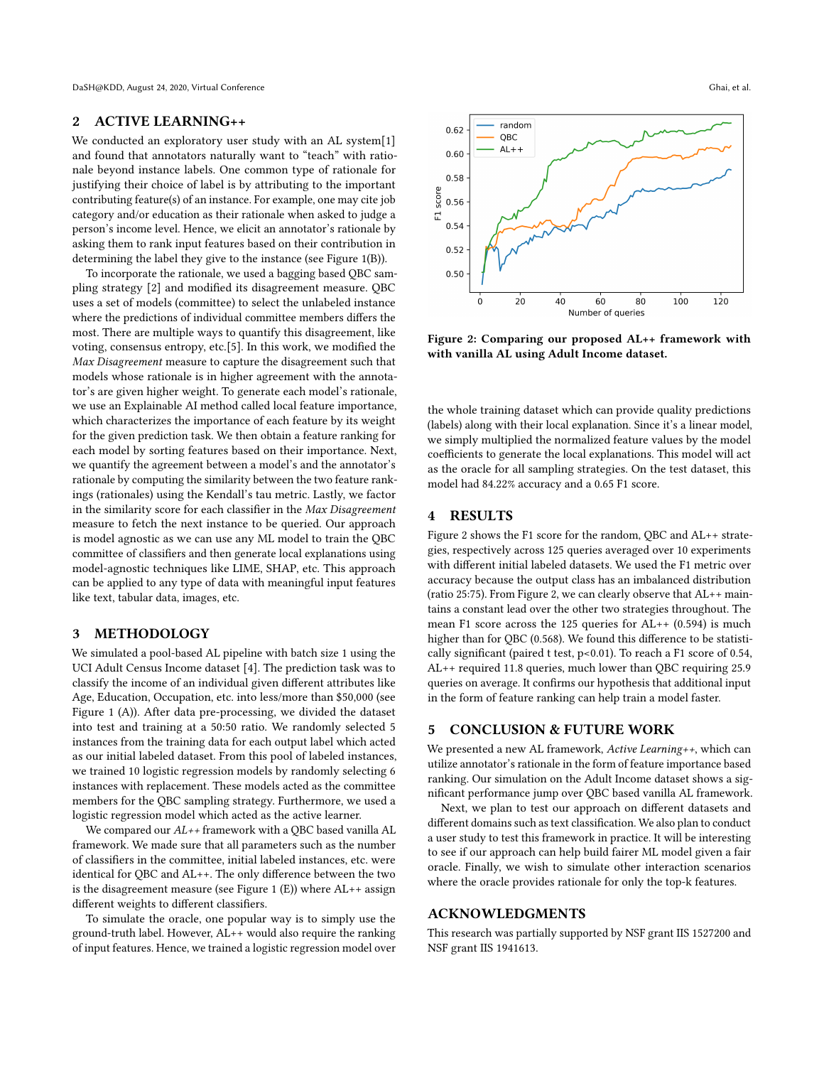DaSH@KDD, August 24, 2020, Virtual Conference Ghai, et al. et al. et al. et al. et al. et al. et al. et al. et al.

#### 2 ACTIVE LEARNING++

We conducted an exploratory user study with an AL system[\[1\]](#page-2-5) and found that annotators naturally want to "teach" with rationale beyond instance labels. One common type of rationale for justifying their choice of label is by attributing to the important contributing feature(s) of an instance. For example, one may cite job category and/or education as their rationale when asked to judge a person's income level. Hence, we elicit an annotator's rationale by asking them to rank input features based on their contribution in determining the label they give to the instance (see [Figure 1\(](#page-0-0)B)).

To incorporate the rationale, we used a bagging based QBC sampling strategy [\[2\]](#page-2-4) and modified its disagreement measure. QBC uses a set of models (committee) to select the unlabeled instance where the predictions of individual committee members differs the most. There are multiple ways to quantify this disagreement, like voting, consensus entropy, etc.[\[5\]](#page-2-1). In this work, we modified the Max Disagreement measure to capture the disagreement such that models whose rationale is in higher agreement with the annotator's are given higher weight. To generate each model's rationale, we use an Explainable AI method called local feature importance, which characterizes the importance of each feature by its weight for the given prediction task. We then obtain a feature ranking for each model by sorting features based on their importance. Next, we quantify the agreement between a model's and the annotator's rationale by computing the similarity between the two feature rankings (rationales) using the Kendall's tau metric. Lastly, we factor in the similarity score for each classifier in the Max Disagreement measure to fetch the next instance to be queried. Our approach is model agnostic as we can use any ML model to train the QBC committee of classifiers and then generate local explanations using model-agnostic techniques like LIME, SHAP, etc. This approach can be applied to any type of data with meaningful input features like text, tabular data, images, etc.

#### 3 METHODOLOGY

We simulated a pool-based AL pipeline with batch size 1 using the UCI Adult Census Income dataset [\[4\]](#page-2-6). The prediction task was to classify the income of an individual given different attributes like Age, Education, Occupation, etc. into less/more than \$50,000 (see [Figure 1](#page-0-0) (A)). After data pre-processing, we divided the dataset into test and training at a 50:50 ratio. We randomly selected 5 instances from the training data for each output label which acted as our initial labeled dataset. From this pool of labeled instances, we trained 10 logistic regression models by randomly selecting 6 instances with replacement. These models acted as the committee members for the QBC sampling strategy. Furthermore, we used a logistic regression model which acted as the active learner.

We compared our  $AL++$  framework with a QBC based vanilla AL framework. We made sure that all parameters such as the number of classifiers in the committee, initial labeled instances, etc. were identical for QBC and AL++. The only difference between the two is the disagreement measure (see [Figure 1](#page-0-0) (E)) where AL++ assign different weights to different classifiers.

To simulate the oracle, one popular way is to simply use the ground-truth label. However, AL++ would also require the ranking of input features. Hence, we trained a logistic regression model over

<span id="page-1-0"></span>

Figure 2: Comparing our proposed AL++ framework with with vanilla AL using Adult Income dataset.

the whole training dataset which can provide quality predictions (labels) along with their local explanation. Since it's a linear model, we simply multiplied the normalized feature values by the model coefficients to generate the local explanations. This model will act as the oracle for all sampling strategies. On the test dataset, this model had 84.22% accuracy and a 0.65 F1 score.

#### 4 RESULTS

[Figure 2](#page-1-0) shows the F1 score for the random, QBC and AL++ strategies, respectively across 125 queries averaged over 10 experiments with different initial labeled datasets. We used the F1 metric over accuracy because the output class has an imbalanced distribution (ratio 25:75). From [Figure 2,](#page-1-0) we can clearly observe that AL++ maintains a constant lead over the other two strategies throughout. The mean F1 score across the 125 queries for AL++ (0.594) is much higher than for QBC (0.568). We found this difference to be statistically significant (paired t test, p<0.01). To reach a F1 score of 0.54, AL++ required 11.8 queries, much lower than QBC requiring 25.9 queries on average. It confirms our hypothesis that additional input in the form of feature ranking can help train a model faster.

#### 5 CONCLUSION & FUTURE WORK

We presented a new AL framework, Active Learning++, which can utilize annotator's rationale in the form of feature importance based ranking. Our simulation on the Adult Income dataset shows a significant performance jump over QBC based vanilla AL framework.

Next, we plan to test our approach on different datasets and different domains such as text classification. We also plan to conduct a user study to test this framework in practice. It will be interesting to see if our approach can help build fairer ML model given a fair oracle. Finally, we wish to simulate other interaction scenarios where the oracle provides rationale for only the top-k features.

# ACKNOWLEDGMENTS

This research was partially supported by NSF grant IIS 1527200 and NSF grant IIS 1941613.